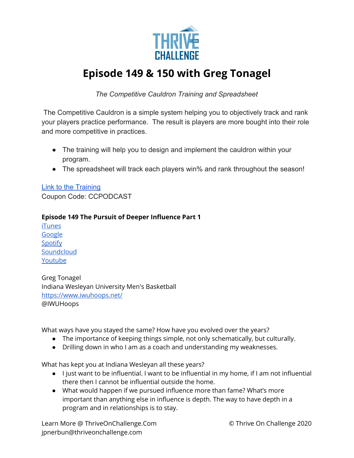

## **Episode 149 & 150 with Greg Tonagel**

*The Competitive Cauldron Training and Spreadsheet*

 The Competitive Cauldron is a simple system helping you to objectively track and rank your players practice performance. The result is players are more bought into their role and more competitive in practices.

- The training will help you to design and implement the cauldron within your program.
- The spreadsheet will track each players win% and rank throughout the season!

[Link to the Training](https://coachtube.com/course/coach-development/the-competitive-cauldron-training-and-spreadsheet/12020818?cpnCode=CCPODCAST&track=fca0d33996f1ea42ebbcd5ded664735b) Coupon Code: CCPODCAST

## **Episode 149 The Pursuit of Deeper Influence Part 1**

[iTunes](https://podcasts.apple.com/us/podcast/149-the-pursuit-of-deeper-influence-with-greg-tonagel-part-1/id1286560192?i=1000485502497) [Google](https://podcasts.google.com/feed/aHR0cHM6Ly9mZWVkcy5zb3VuZGNsb3VkLmNvbS91c2Vycy9zb3VuZGNsb3VkOnVzZXJzOjQxMDQyNzcvc291bmRzLnJzcw/episode/dGFnOnNvdW5kY2xvdWQsMjAxMDp0cmFja3MvODYxMTkwMDA5?sa=X&ved=2ahUKEwjF6K3_kuPqAhXvQ0EAHcIIDwAQkfYCegQIARAF) [Spotify](https://open.spotify.com/episode/7o0SN2DhlqxJgz9taOwo0s) **[Soundcloud](https://soundcloud.com/thriveonchallenge/149-the-pursuit-of-deeper-influence-with-greg-tonagel-part-1)** [Youtube](https://www.youtube.com/watch?v=GKEjS0nLtyw)

Greg Tonagel Indiana Wesleyan University Men's Basketball <https://www.iwuhoops.net/> @IWUHoops

What ways have you stayed the same? How have you evolved over the years?

- The importance of keeping things simple, not only schematically, but culturally.
- Drilling down in who I am as a coach and understanding my weaknesses.

What has kept you at Indiana Wesleyan all these years?

- I just want to be influential. I want to be influential in my home, if I am not influential there then I cannot be influential outside the home.
- What would happen if we pursued influence more than fame? What's more important than anything else in influence is depth. The way to have depth in a program and in relationships is to stay.

Learn More @ ThriveOnChallenge.Com © Thrive On Challenge 2020 jpnerbun@thriveonchallenge.com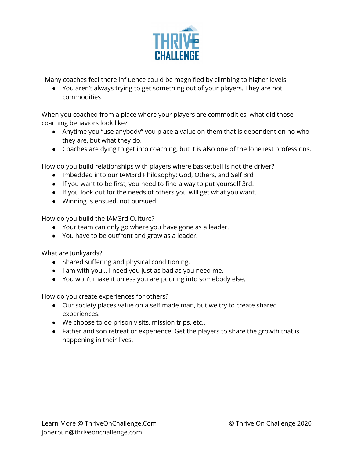

Many coaches feel there influence could be magnified by climbing to higher levels.

● You aren't always trying to get something out of your players. They are not commodities

When you coached from a place where your players are commodities, what did those coaching behaviors look like?

- Anytime you "use anybody" you place a value on them that is dependent on no who they are, but what they do.
- Coaches are dying to get into coaching, but it is also one of the loneliest professions.

How do you build relationships with players where basketball is not the driver?

- Imbedded into our IAM3rd Philosophy: God, Others, and Self 3rd
- If you want to be first, you need to find a way to put yourself 3rd.
- If you look out for the needs of others you will get what you want.
- Winning is ensued, not pursued.

How do you build the IAM3rd Culture?

- Your team can only go where you have gone as a leader.
- You have to be outfront and grow as a leader.

What are Junkyards?

- Shared suffering and physical conditioning.
- I am with you… I need you just as bad as you need me.
- You won't make it unless you are pouring into somebody else.

How do you create experiences for others?

- Our society places value on a self made man, but we try to create shared experiences.
- We choose to do prison visits, mission trips, etc..
- Father and son retreat or experience: Get the players to share the growth that is happening in their lives.